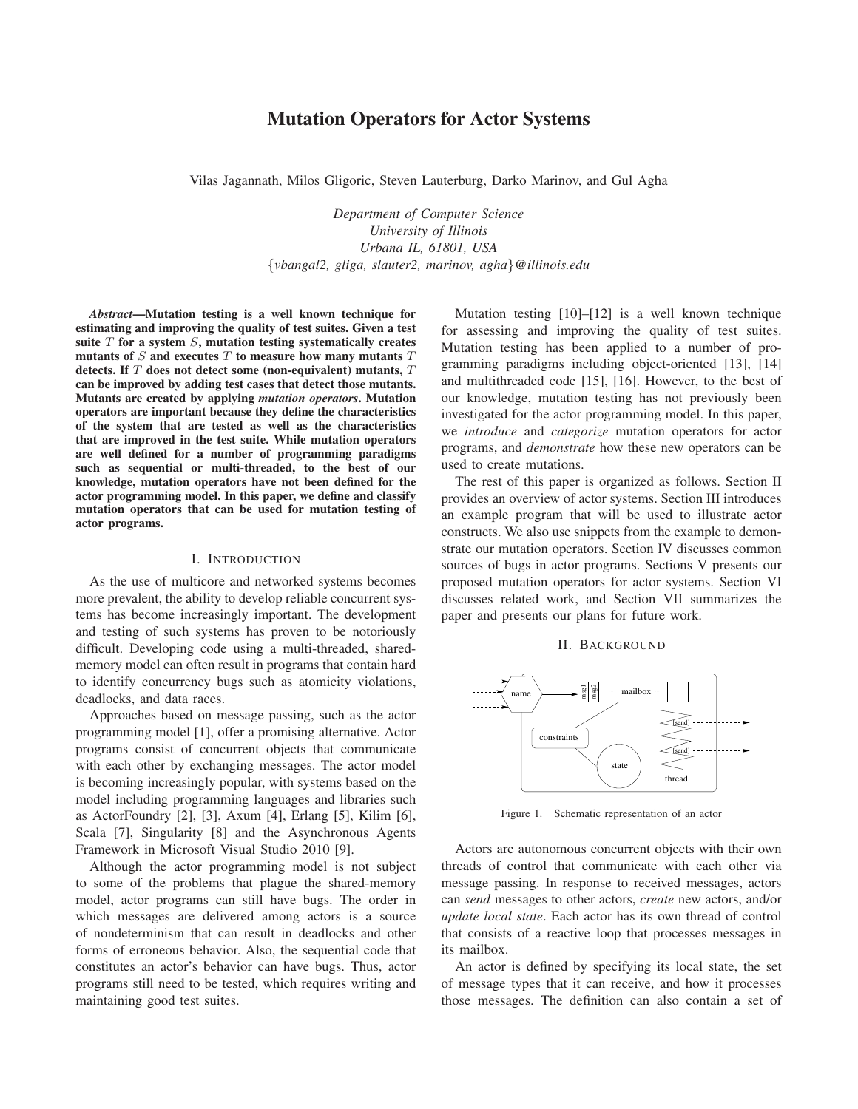## **Mutation Operators for Actor Systems**

Vilas Jagannath, Milos Gligoric, Steven Lauterburg, Darko Marinov, and Gul Agha

*Department of Computer Science University of Illinois Urbana IL, 61801, USA* {*vbangal2, gliga, slauter2, marinov, agha*}*@illinois.edu*

*Abstract***—Mutation testing is a well known technique for estimating and improving the quality of test suites. Given a test suite** *T* **for a system** *S***, mutation testing systematically creates mutants of** *S* **and executes** *T* **to measure how many mutants** *T* **detects. If** *T* **does not detect some (non-equivalent) mutants,** *T* **can be improved by adding test cases that detect those mutants. Mutants are created by applying** *mutation operators***. Mutation operators are important because they define the characteristics of the system that are tested as well as the characteristics that are improved in the test suite. While mutation operators are well defined for a number of programming paradigms such as sequential or multi-threaded, to the best of our knowledge, mutation operators have not been defined for the actor programming model. In this paper, we define and classify mutation operators that can be used for mutation testing of actor programs.**

### I. INTRODUCTION

As the use of multicore and networked systems becomes more prevalent, the ability to develop reliable concurrent systems has become increasingly important. The development and testing of such systems has proven to be notoriously difficult. Developing code using a multi-threaded, sharedmemory model can often result in programs that contain hard to identify concurrency bugs such as atomicity violations, deadlocks, and data races.

Approaches based on message passing, such as the actor programming model [1], offer a promising alternative. Actor programs consist of concurrent objects that communicate with each other by exchanging messages. The actor model is becoming increasingly popular, with systems based on the model including programming languages and libraries such as ActorFoundry [2], [3], Axum [4], Erlang [5], Kilim [6], Scala [7], Singularity [8] and the Asynchronous Agents Framework in Microsoft Visual Studio 2010 [9].

Although the actor programming model is not subject to some of the problems that plague the shared-memory model, actor programs can still have bugs. The order in which messages are delivered among actors is a source of nondeterminism that can result in deadlocks and other forms of erroneous behavior. Also, the sequential code that constitutes an actor's behavior can have bugs. Thus, actor programs still need to be tested, which requires writing and maintaining good test suites.

Mutation testing [10]–[12] is a well known technique for assessing and improving the quality of test suites. Mutation testing has been applied to a number of programming paradigms including object-oriented [13], [14] and multithreaded code [15], [16]. However, to the best of our knowledge, mutation testing has not previously been investigated for the actor programming model. In this paper, we *introduce* and *categorize* mutation operators for actor programs, and *demonstrate* how these new operators can be used to create mutations.

The rest of this paper is organized as follows. Section II provides an overview of actor systems. Section III introduces an example program that will be used to illustrate actor constructs. We also use snippets from the example to demonstrate our mutation operators. Section IV discusses common sources of bugs in actor programs. Sections V presents our proposed mutation operators for actor systems. Section VI discusses related work, and Section VII summarizes the paper and presents our plans for future work.

### II. BACKGROUND



Figure 1. Schematic representation of an actor

Actors are autonomous concurrent objects with their own threads of control that communicate with each other via message passing. In response to received messages, actors can *send* messages to other actors, *create* new actors, and/or *update local state*. Each actor has its own thread of control that consists of a reactive loop that processes messages in its mailbox.

An actor is defined by specifying its local state, the set of message types that it can receive, and how it processes those messages. The definition can also contain a set of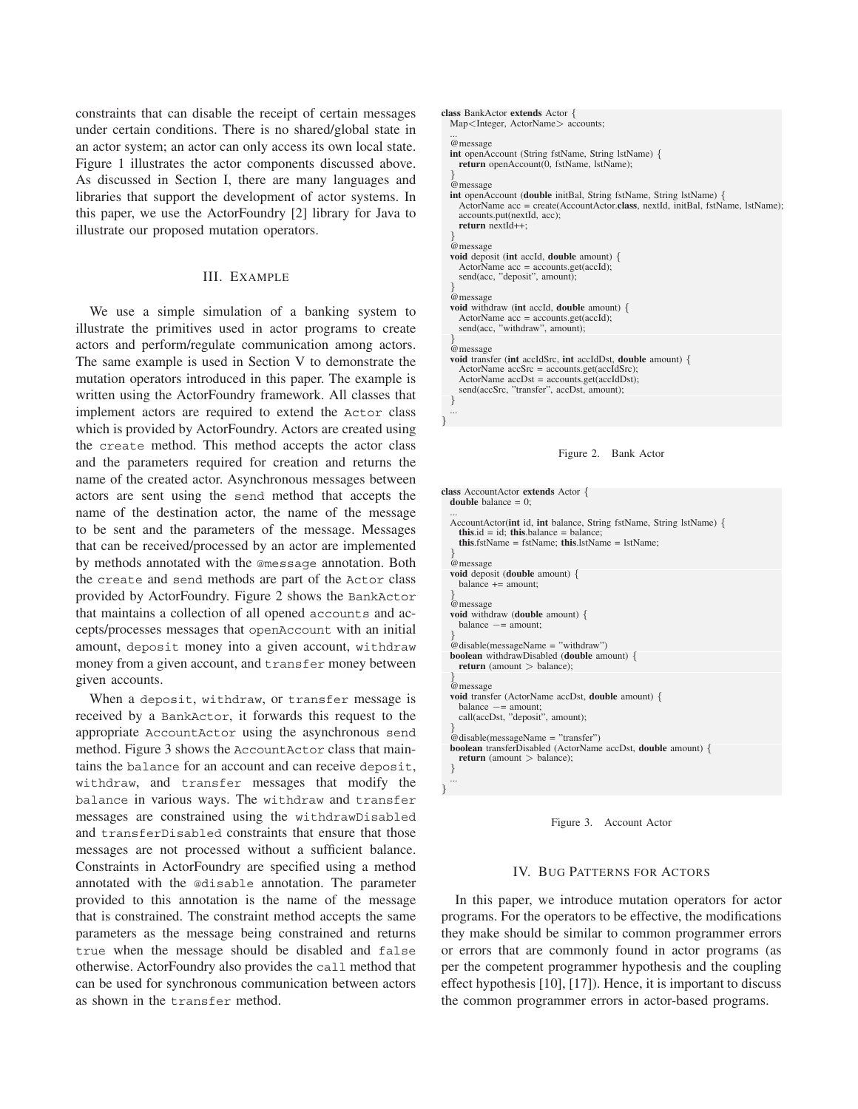constraints that can disable the receipt of certain messages under certain conditions. There is no shared/global state in an actor system; an actor can only access its own local state. Figure 1 illustrates the actor components discussed above. As discussed in Section I, there are many languages and libraries that support the development of actor systems. In this paper, we use the ActorFoundry [2] library for Java to illustrate our proposed mutation operators.

### III. EXAMPLE

We use a simple simulation of a banking system to illustrate the primitives used in actor programs to create actors and perform/regulate communication among actors. The same example is used in Section V to demonstrate the mutation operators introduced in this paper. The example is written using the ActorFoundry framework. All classes that implement actors are required to extend the Actor class which is provided by ActorFoundry. Actors are created using the create method. This method accepts the actor class and the parameters required for creation and returns the name of the created actor. Asynchronous messages between actors are sent using the send method that accepts the name of the destination actor, the name of the message to be sent and the parameters of the message. Messages that can be received/processed by an actor are implemented by methods annotated with the @message annotation. Both the create and send methods are part of the Actor class provided by ActorFoundry. Figure 2 shows the BankActor that maintains a collection of all opened accounts and accepts/processes messages that openAccount with an initial amount, deposit money into a given account, withdraw money from a given account, and transfer money between given accounts.

When a deposit, withdraw, or transfer message is received by a BankActor, it forwards this request to the appropriate AccountActor using the asynchronous send method. Figure 3 shows the AccountActor class that maintains the balance for an account and can receive deposit, withdraw, and transfer messages that modify the balance in various ways. The withdraw and transfer messages are constrained using the withdrawDisabled and transferDisabled constraints that ensure that those messages are not processed without a sufficient balance. Constraints in ActorFoundry are specified using a method annotated with the @disable annotation. The parameter provided to this annotation is the name of the message that is constrained. The constraint method accepts the same parameters as the message being constrained and returns true when the message should be disabled and false otherwise. ActorFoundry also provides the call method that can be used for synchronous communication between actors as shown in the transfer method.

```
class BankActor extends Actor {
  Map<Integer, ActorName> accounts;
  ...
@message
  int openAccount (String fstName, String lstName) {
    return openAccount(0, fstName, lstName);
  }
@message
  int openAccount (double initBal, String fstName, String lstName) {
    ActorName acc = create(AccountActor.class, nextId, initBal, fstName, lstName);
accounts.put(nextId, acc);
    return nextId++;
  }
@message
  void deposit (int accId, double amount) {
    ActorName acc = accounts.get(accId);
    send(acc, "deposit", amount);
  }
@message
  void withdraw (int accId, double amount) {
    ActorName acc = accounts.get(accId);
    send(acc, "withdraw", amount);
  }
@message
  void transfer (int accIdSrc, int accIdDst, double amount) {
    ActorName accSrc = accounts.get(accIdSrc);
    ActorName accDst = accounts.get(accIdDst);send(accSrc, "transfer", accDst, amount);
  }
  ...
```


*}*

```
class AccountActor extends Actor {
  double balance = 0;
  ...
AccountActor(int id, int balance, String fstName, String lstName) {
    this.id = id; this.balance = balance;
    this.fstName = fstName; this.lstName = lstName;
  }
@message
  void deposit (double amount) {
    balance += amount:
  }
@message
void withdraw (double amount) {
    balance −= amount;
  }
@disable(messageName = "withdraw")
  boolean withdrawDisabled (double amount) {
    return (amount > balance);
  }
@message
  void transfer (ActorName accDst, double amount) {
    balance −= amount;
    call(accDst, "deposit", amount);
  }
@disable(messageName = "transfer")
  boolean transferDisabled (ActorName accDst, double amount) {
    return (amount > balance);
  }
  ...
}
```


### IV. BUG PATTERNS FOR ACTORS

In this paper, we introduce mutation operators for actor programs. For the operators to be effective, the modifications they make should be similar to common programmer errors or errors that are commonly found in actor programs (as per the competent programmer hypothesis and the coupling effect hypothesis [10], [17]). Hence, it is important to discuss the common programmer errors in actor-based programs.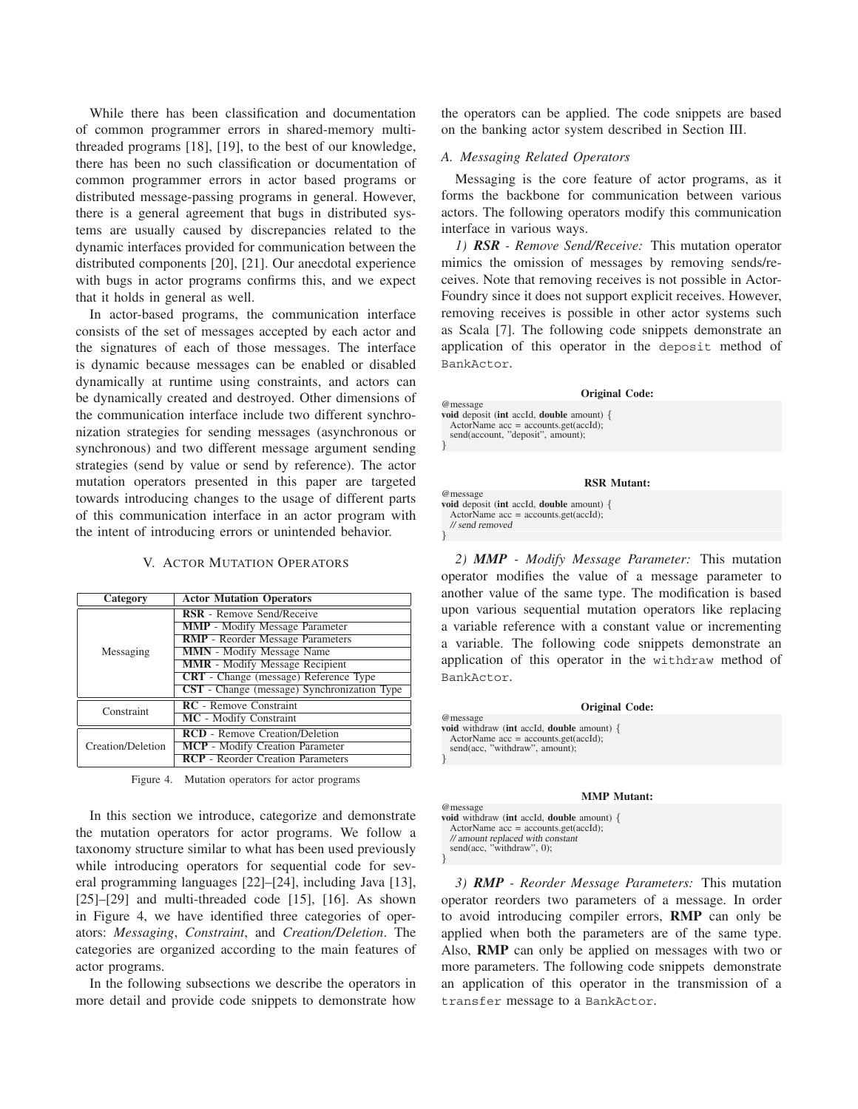While there has been classification and documentation of common programmer errors in shared-memory multithreaded programs [18], [19], to the best of our knowledge, there has been no such classification or documentation of common programmer errors in actor based programs or distributed message-passing programs in general. However, there is a general agreement that bugs in distributed systems are usually caused by discrepancies related to the dynamic interfaces provided for communication between the distributed components [20], [21]. Our anecdotal experience with bugs in actor programs confirms this, and we expect that it holds in general as well.

In actor-based programs, the communication interface consists of the set of messages accepted by each actor and the signatures of each of those messages. The interface is dynamic because messages can be enabled or disabled dynamically at runtime using constraints, and actors can be dynamically created and destroyed. Other dimensions of the communication interface include two different synchronization strategies for sending messages (asynchronous or synchronous) and two different message argument sending strategies (send by value or send by reference). The actor mutation operators presented in this paper are targeted towards introducing changes to the usage of different parts of this communication interface in an actor program with the intent of introducing errors or unintended behavior.

### V. ACTOR MUTATION OPERATORS

| Category          | <b>Actor Mutation Operators</b>                    |
|-------------------|----------------------------------------------------|
|                   | RSR - Remove Send/Receive                          |
| Messaging         | <b>MMP</b> - Modify Message Parameter              |
|                   | RMP - Reorder Message Parameters                   |
|                   | <b>MMN</b> - Modify Message Name                   |
|                   | <b>MMR</b> - Modify Message Recipient              |
|                   | CRT - Change (message) Reference Type              |
|                   | <b>CST</b> - Change (message) Synchronization Type |
| Constraint        | <b>RC</b> - Remove Constraint                      |
|                   | MC - Modify Constraint                             |
| Creation/Deletion | <b>RCD</b> - Remove Creation/Deletion              |
|                   | <b>MCP</b> - Modify Creation Parameter             |
|                   | <b>RCP</b> - Reorder Creation Parameters           |

Figure 4. Mutation operators for actor programs

In this section we introduce, categorize and demonstrate the mutation operators for actor programs. We follow a taxonomy structure similar to what has been used previously while introducing operators for sequential code for several programming languages [22]–[24], including Java [13],  $[25]$ – $[29]$  and multi-threaded code  $[15]$ ,  $[16]$ . As shown in Figure 4, we have identified three categories of operators: *Messaging*, *Constraint*, and *Creation/Deletion*. The categories are organized according to the main features of actor programs.

In the following subsections we describe the operators in more detail and provide code snippets to demonstrate how the operators can be applied. The code snippets are based on the banking actor system described in Section III.

### *A. Messaging Related Operators*

Messaging is the core feature of actor programs, as it forms the backbone for communication between various actors. The following operators modify this communication interface in various ways.

*1) RSR - Remove Send/Receive:* This mutation operator mimics the omission of messages by removing sends/receives. Note that removing receives is not possible in Actor-Foundry since it does not support explicit receives. However, removing receives is possible in other actor systems such as Scala [7]. The following code snippets demonstrate an application of this operator in the deposit method of BankActor.

#### **Original Code:**

@message **void** deposit (**int** accId, **double** amount) *{* ActorName acc = accounts.get(accId); send(account, "deposit", amount);

*}*

*}*

*}*

#### **RSR Mutant:**

@message **void** deposit (**int** accId, **double** amount) *{*  $ActionName$   $acc = accounts.get(accId);$ // send removed

*2) MMP - Modify Message Parameter:* This mutation operator modifies the value of a message parameter to another value of the same type. The modification is based upon various sequential mutation operators like replacing a variable reference with a constant value or incrementing a variable. The following code snippets demonstrate an application of this operator in the withdraw method of BankActor.

| <b>Original Code:</b>                                                                                    |
|----------------------------------------------------------------------------------------------------------|
| @message                                                                                                 |
| <b>void</b> withdraw (int accId, <b>double</b> amount) $\{$<br>$ActionName$ $acc = accounts.get(accId);$ |
| send(acc, "withdraw", amount);                                                                           |
|                                                                                                          |

#### **MMP Mutant:**

| @message                                                         |  |
|------------------------------------------------------------------|--|
| <b>void</b> withdraw ( <b>int</b> accId, <b>double</b> amount) { |  |
| ActorName $acc = accounts.get(accId);$                           |  |
| // amount replaced with constant                                 |  |
| send(acc, "withdraw", $0$ );                                     |  |

*3) RMP - Reorder Message Parameters:* This mutation operator reorders two parameters of a message. In order to avoid introducing compiler errors, **RMP** can only be applied when both the parameters are of the same type. Also, **RMP** can only be applied on messages with two or more parameters. The following code snippets demonstrate an application of this operator in the transmission of a transfer message to a BankActor.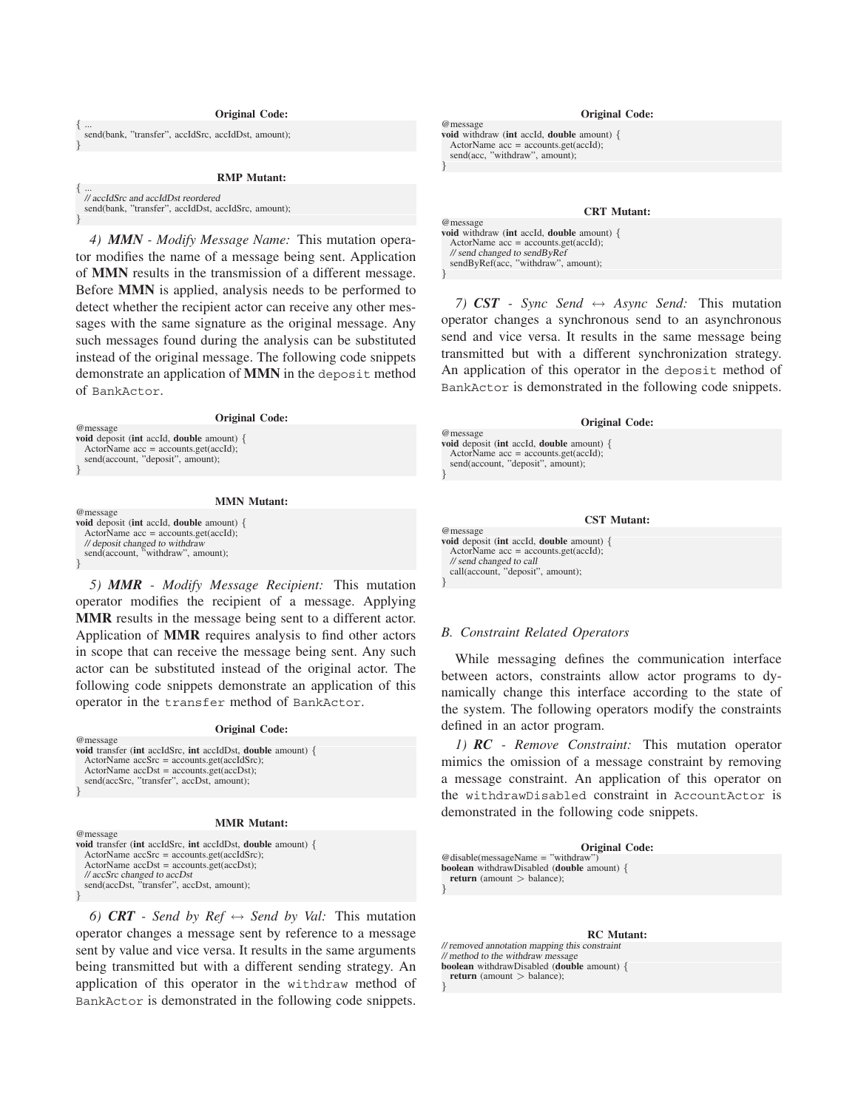*{* ... send(bank, "transfer", accIdSrc, accIdDst, amount); *}*

**RMP Mutant:**

*{* ... // accIdSrc and accIdDst reordered send(bank, "transfer", accIdDst, accIdSrc, amount);

*}*

*}*

*}*

*}*

*4) MMN - Modify Message Name:* This mutation operator modifies the name of a message being sent. Application of **MMN** results in the transmission of a different message. Before **MMN** is applied, analysis needs to be performed to detect whether the recipient actor can receive any other messages with the same signature as the original message. Any such messages found during the analysis can be substituted instead of the original message. The following code snippets demonstrate an application of **MMN** in the deposit method of BankActor.

| <b>Original Code:</b>                                      |  |
|------------------------------------------------------------|--|
| @message                                                   |  |
| <b>void</b> deposit (int accId, <b>double</b> amount) $\{$ |  |
| ActorName $acc = accounts.get(accId);$                     |  |
| send(account, "deposit", amount);                          |  |
|                                                            |  |

**MMN Mutant:**

| @message                                                        |  |
|-----------------------------------------------------------------|--|
| <b>void</b> deposit ( <b>int</b> accId, <b>double</b> amount) { |  |
| ActorName $acc = accounts.get(accId);$                          |  |
| // deposit changed to withdraw                                  |  |
| send(account. "withdraw", amount):                              |  |
|                                                                 |  |

*5) MMR - Modify Message Recipient:* This mutation operator modifies the recipient of a message. Applying **MMR** results in the message being sent to a different actor. Application of **MMR** requires analysis to find other actors in scope that can receive the message being sent. Any such actor can be substituted instead of the original actor. The following code snippets demonstrate an application of this operator in the transfer method of BankActor.

#### **Original Code:**

| <b>void</b> transfer (int accIdSrc, int accIdDst, <b>double</b> amount) { |
|---------------------------------------------------------------------------|
|                                                                           |
| $ActionName accSrc = accounts.get(accIdSrc);$                             |
| $ActorName accDst = accounts.get(accDst);$                                |
| send(accSrc, "transfer", accDst, amount);                                 |
|                                                                           |

#### **MMR Mutant:**

| @message                                                                  |
|---------------------------------------------------------------------------|
| <b>void</b> transfer (int accIdSrc, int accIdDst, <b>double</b> amount) { |
| $ActionName accSrc = accounts.get(accIdSrc);$                             |
| $ActionName accDst = accounts.get(accDst);$                               |
| // accSrc changed to accDst                                               |
| send(accDst, "transfer", accDst, amount);                                 |
|                                                                           |

*6) CRT - Send by Ref*  $\leftrightarrow$  *Send by Val:* This mutation operator changes a message sent by reference to a message sent by value and vice versa. It results in the same arguments being transmitted but with a different sending strategy. An application of this operator in the withdraw method of BankActor is demonstrated in the following code snippets.

# **Original Code:** @message **void** withdraw (**int** accId, **double** amount) *{*  $ActionName$   $acc = accounts.get(accId)$ ; send(acc, "withdraw", amount);

### **CRT Mutant:**

**void** withdraw (**int** accId, **double** amount) *{* ActorName acc = accounts.get(accId); // send changed to sendByRef sendByRef(acc, "withdraw", amount); *}*

*}*

*}*

*}*

@message

*7) CST - Sync Send* ↔ *Async Send:* This mutation operator changes a synchronous send to an asynchronous send and vice versa. It results in the same message being transmitted but with a different synchronization strategy. An application of this operator in the deposit method of BankActor is demonstrated in the following code snippets.

### **Original Code:**

| @message                                                        |  |
|-----------------------------------------------------------------|--|
| <b>void</b> deposit ( <b>int</b> accId, <b>double</b> amount) { |  |
| ActorName $acc = accounts.get(accId);$                          |  |
| send(account, "deposit", amount);                               |  |
|                                                                 |  |
|                                                                 |  |

### **CST Mutant:**

@message **void** deposit (**int** accId, **double** amount) *{* ActorName acc = accounts.get(accId); // send changed to call call(account, "deposit", amount);

### *B. Constraint Related Operators*

While messaging defines the communication interface between actors, constraints allow actor programs to dynamically change this interface according to the state of the system. The following operators modify the constraints defined in an actor program.

*1) RC - Remove Constraint:* This mutation operator mimics the omission of a message constraint by removing a message constraint. An application of this operator on the withdrawDisabled constraint in AccountActor is demonstrated in the following code snippets.

### **Original Code:**

@disable(messageName = "withdraw") **boolean** withdrawDisabled (**double** amount) *{* **return** (amount *>* balance); *}*

#### **RC Mutant:**

// removed annotation mapping this constraint // method to the withdraw messag **boolean** withdrawDisabled (**double** amount) *{* **return** (amount *>* balance);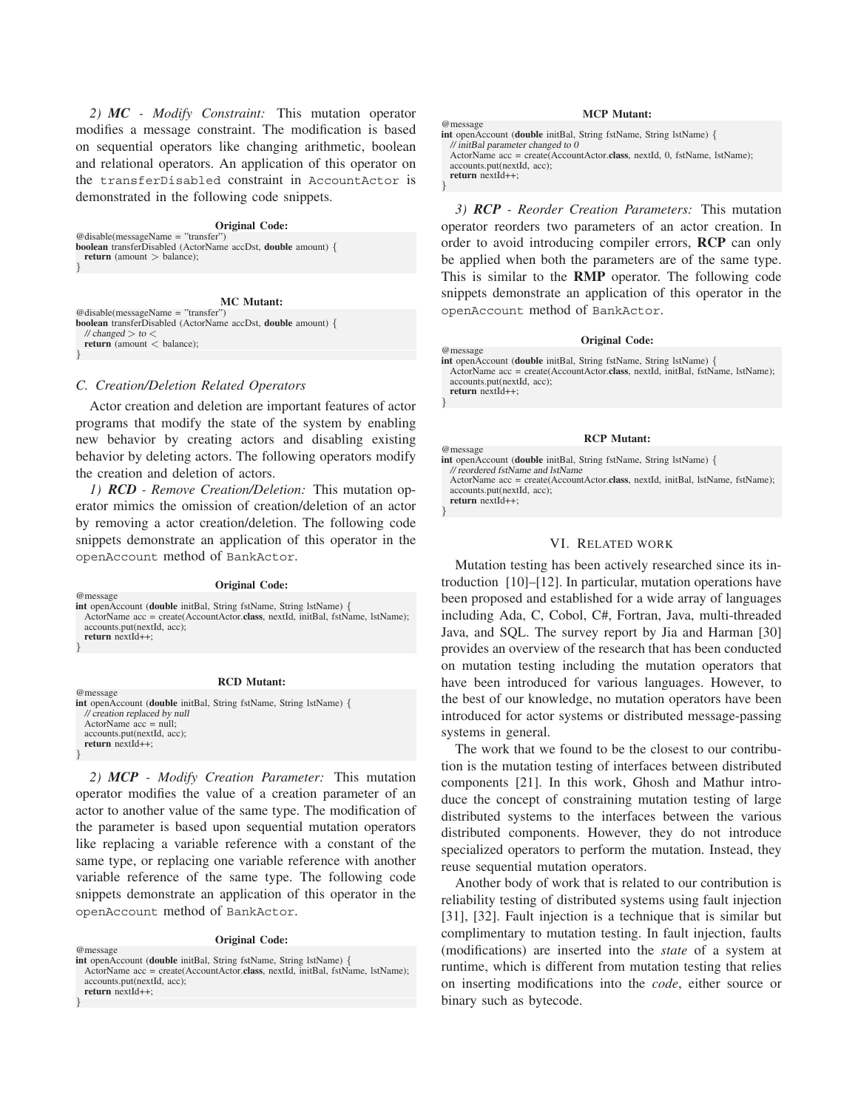*2) MC - Modify Constraint:* This mutation operator modifies a message constraint. The modification is based on sequential operators like changing arithmetic, boolean and relational operators. An application of this operator on the transferDisabled constraint in AccountActor is demonstrated in the following code snippets.

### **Original Code:**

@disable(messageName = "transfer") **boolean** transferDisabled (ActorName accDst, **double** amount) *{* **return** (amount *>* balance); *}*

**MC Mutant:** @disable(messageName = "transfer") **boolean** transferDisabled (ActorName accDst, **double** amount) *{* // changed *>* to *<* **return** (amount *<* balance);

### *C. Creation/Deletion Related Operators*

*}*

*}*

*}*

*}*

Actor creation and deletion are important features of actor programs that modify the state of the system by enabling new behavior by creating actors and disabling existing behavior by deleting actors. The following operators modify the creation and deletion of actors.

*1) RCD - Remove Creation/Deletion:* This mutation operator mimics the omission of creation/deletion of an actor by removing a actor creation/deletion. The following code snippets demonstrate an application of this operator in the openAccount method of BankActor.

#### **Original Code:**

@message **int** openAccount (**double** initBal, String fstName, String lstName) *{* ActorName acc = create(AccountActor.**class**, nextId, initBal, fstName, lstName); accounts.put(nextId, acc); **return** nextId++;

#### **RCD Mutant:**

@message **int** openAccount (**double** initBal, String fstName, String lstName) *{* // creation replaced by null ActorName acc = null; accounts.put(nextId, acc); **return** nextId++;

*2) MCP - Modify Creation Parameter:* This mutation operator modifies the value of a creation parameter of an actor to another value of the same type. The modification of the parameter is based upon sequential mutation operators like replacing a variable reference with a constant of the same type, or replacing one variable reference with another variable reference of the same type. The following code snippets demonstrate an application of this operator in the openAccount method of BankActor.

**Original Code:** @message **int** openAccount (**double** initBal, String fstName, String lstName) *{* ActorName acc = create(AccountActor.**class**, nextId, initBal, fstName, lstName); accounts.put(nextId, acc); **return** nextId++;

### **MCP Mutant:**

**int** openAccount (**double** initBal, String fstName, String lstName) *{* // initBal parameter changed to 0 ActorName acc = create(AccountActor.**class**, nextId, 0, fstName, lstName); accounts.put(nextId, acc); **return** nextId++;

@message

*}*

*}*

*}*

*3) RCP - Reorder Creation Parameters:* This mutation operator reorders two parameters of an actor creation. In order to avoid introducing compiler errors, **RCP** can only be applied when both the parameters are of the same type. This is similar to the **RMP** operator. The following code snippets demonstrate an application of this operator in the openAccount method of BankActor.

#### **Original Code:**

@message **int** openAccount (**double** initBal, String fstName, String lstName) *{* ActorName acc = create(AccountActor.**class**, nextId, initBal, fstName, lstName); accounts.put(nextId, acc); **return** nextId++;

### **RCP Mutant:**

@message **int** openAccount (**double** initBal, String fstName, String lstName) *{* // reordered fstName and lstName ActorName acc = create(AccountActor.**class**, nextId, initBal, lstName, fstName);

accounts.put(nextId, acc); **return** nextId++;

### VI. RELATED WORK

Mutation testing has been actively researched since its introduction [10]–[12]. In particular, mutation operations have been proposed and established for a wide array of languages including Ada, C, Cobol, C#, Fortran, Java, multi-threaded Java, and SQL. The survey report by Jia and Harman [30] provides an overview of the research that has been conducted on mutation testing including the mutation operators that have been introduced for various languages. However, to the best of our knowledge, no mutation operators have been introduced for actor systems or distributed message-passing systems in general.

The work that we found to be the closest to our contribution is the mutation testing of interfaces between distributed components [21]. In this work, Ghosh and Mathur introduce the concept of constraining mutation testing of large distributed systems to the interfaces between the various distributed components. However, they do not introduce specialized operators to perform the mutation. Instead, they reuse sequential mutation operators.

Another body of work that is related to our contribution is reliability testing of distributed systems using fault injection [31], [32]. Fault injection is a technique that is similar but complimentary to mutation testing. In fault injection, faults (modifications) are inserted into the *state* of a system at runtime, which is different from mutation testing that relies on inserting modifications into the *code*, either source or binary such as bytecode.